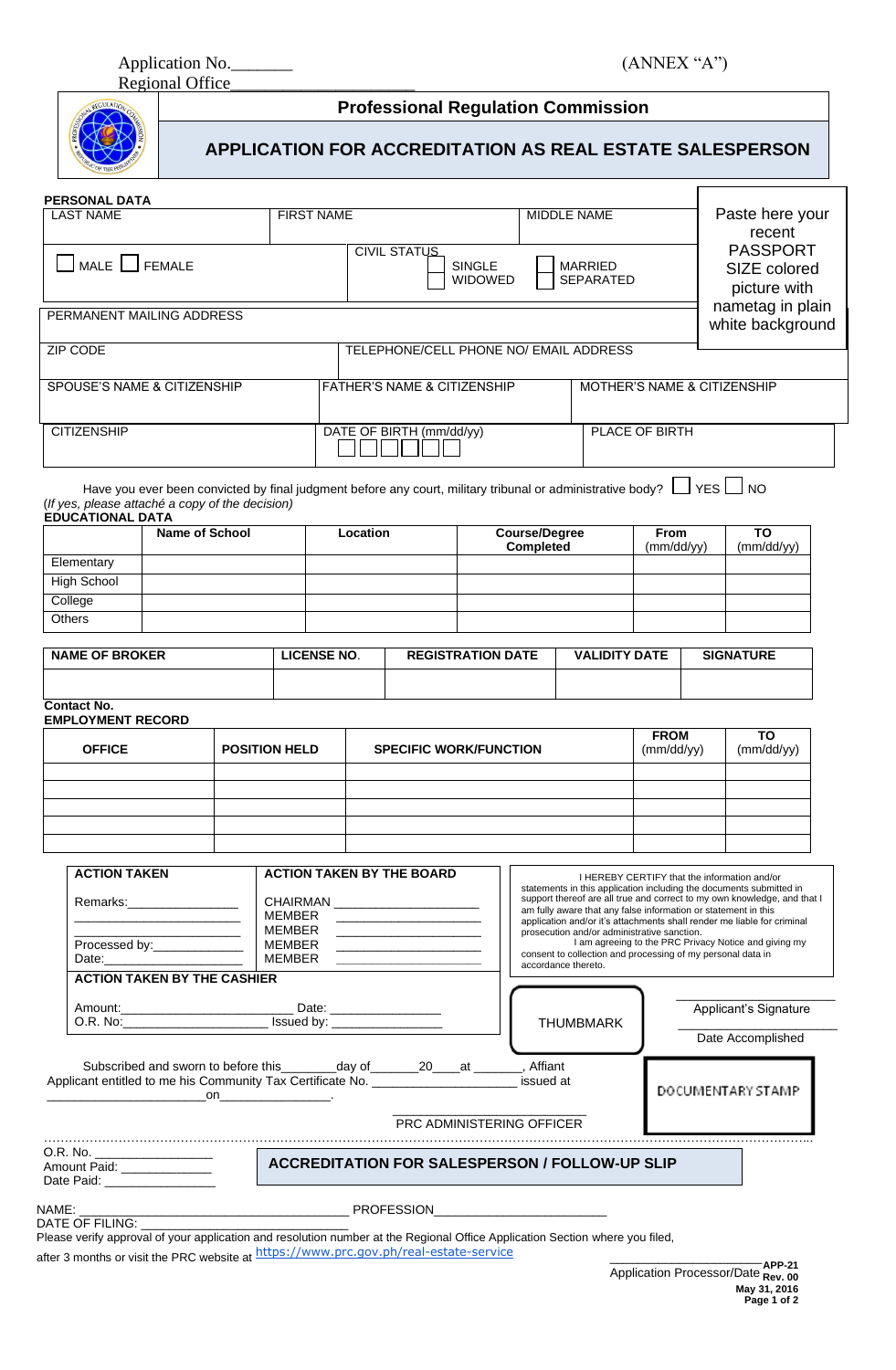Application No. \_\_\_\_\_\_\_\_\_ (ANNEX "A")

Regional Office



# **Professional Regulation Commission**

# **APPLICATION FOR ACCREDITATION AS REAL ESTATE SALESPERSON**

| <b>PERSONAL DATA</b>        |                                                 |                                    |                                                 |
|-----------------------------|-------------------------------------------------|------------------------------------|-------------------------------------------------|
| <b>LAST NAME</b>            | <b>FIRST NAME</b>                               | MIDDLE NAME                        | Paste here your<br>recent                       |
| MALE SEMALE                 | CIVIL STATUS<br><b>SINGLE</b><br><b>WIDOWED</b> | <b>MARRIED</b><br><b>SEPARATED</b> | <b>PASSPORT</b><br>SIZE colored<br>picture with |
| PERMANENT MAILING ADDRESS   |                                                 |                                    | nametag in plain<br>white background            |
| <b>ZIP CODE</b>             | TELEPHONE/CELL PHONE NO/ EMAIL ADDRESS          |                                    |                                                 |
| SPOUSE'S NAME & CITIZENSHIP | FATHER'S NAME & CITIZENSHIP                     | MOTHER'S NAME & CITIZENSHIP        |                                                 |
| <b>CITIZENSHIP</b>          | DATE OF BIRTH (mm/dd/yy)                        | PLACE OF BIRTH                     |                                                 |

Have you ever been convicted by final judgment before any court, military tribunal or administrative body?  $\Box$  YES  $\Box$  NO (*If yes, please attaché a copy of the decision)*

|               | <b>Name of School</b> | <b>Location</b> | <b>Course/Degree</b><br>Completed | <b>From</b><br>(mm/dd/yy) | то<br>(mm/dd/yy) |
|---------------|-----------------------|-----------------|-----------------------------------|---------------------------|------------------|
| Elementary    |                       |                 |                                   |                           |                  |
| High School   |                       |                 |                                   |                           |                  |
| College       |                       |                 |                                   |                           |                  |
| <b>Others</b> |                       |                 |                                   |                           |                  |

| <b>NAME OF BROKER</b> | LICENSE NO. | <b>REGISTRATION DATE</b> | <b>VALIDITY DATE</b> | <b>SIGNATURE</b> |
|-----------------------|-------------|--------------------------|----------------------|------------------|
|                       |             |                          |                      |                  |

#### **Contact No. EMPLOYMENT RECORD**

| <b>OFFICE</b> | <b>POSITION HELD</b> | <b>SPECIFIC WORK/FUNCTION</b> | <b>FROM</b><br>(mm/dd/yy) | TO<br>(mm/dd/yy) |
|---------------|----------------------|-------------------------------|---------------------------|------------------|
|               |                      |                               |                           |                  |
|               |                      |                               |                           |                  |
|               |                      |                               |                           |                  |
|               |                      |                               |                           |                  |
|               |                      |                               |                           |                  |

| <b>ACTION TAKEN</b><br>Remarks: New York Premium Premium Premium Premium Premium Premium Premium Premium Premium Premium Premium Prem                                                                                                                          | <b>ACTION TAKEN BY THE BOARD</b><br>CHAIRMAN _________________________<br>MEMBER<br>the control of the control of the control of the control of the control of                                                                                                                                                                                                                                                         |                                  | I HEREBY CERTIFY that the information and/or<br>statements in this application including the documents submitted in<br>support thereof are all true and correct to my own knowledge, and that I<br>am fully aware that any false information or statement in this<br>application and/or it's attachments shall render me liable for criminal<br>prosecution and/or administrative sanction. |  |
|----------------------------------------------------------------------------------------------------------------------------------------------------------------------------------------------------------------------------------------------------------------|------------------------------------------------------------------------------------------------------------------------------------------------------------------------------------------------------------------------------------------------------------------------------------------------------------------------------------------------------------------------------------------------------------------------|----------------------------------|---------------------------------------------------------------------------------------------------------------------------------------------------------------------------------------------------------------------------------------------------------------------------------------------------------------------------------------------------------------------------------------------|--|
| Processed by:_______________<br>Date: the contract of the contract of the contract of the contract of the contract of the contract of the contract of the contract of the contract of the contract of the contract of the contract of the contract of the cont | MEMBER<br><u> 1990 - Jan James James, martin politik (</u><br>MEMBER<br><u> The Common State of the Common State of the Common State of the Common State of the Common State of the Common State of the Common State of the Common State of the Common State of the Common State of the Common State of </u><br>MEMBER                                                                                                 | accordance thereto.              | I am agreeing to the PRC Privacy Notice and giving my<br>consent to collection and processing of my personal data in                                                                                                                                                                                                                                                                        |  |
| <b>ACTION TAKEN BY THE CASHIER</b>                                                                                                                                                                                                                             |                                                                                                                                                                                                                                                                                                                                                                                                                        |                                  |                                                                                                                                                                                                                                                                                                                                                                                             |  |
|                                                                                                                                                                                                                                                                |                                                                                                                                                                                                                                                                                                                                                                                                                        | <b>THUMBMARK</b>                 | Applicant's Signature                                                                                                                                                                                                                                                                                                                                                                       |  |
|                                                                                                                                                                                                                                                                |                                                                                                                                                                                                                                                                                                                                                                                                                        |                                  | Date Accomplished                                                                                                                                                                                                                                                                                                                                                                           |  |
|                                                                                                                                                                                                                                                                | Subscribed and sworn to before this _________day of ________20____at ________, Affiant<br>Applicant entitled to me his Community Tax Certificate No. _____________________ issued at<br>on the contract of the contract of the contract of the contract of the contract of the contract of the contract of the contract of the contract of the contract of the contract of the contract of the contract of the contrac |                                  | DOCUMENTARY STAMP                                                                                                                                                                                                                                                                                                                                                                           |  |
|                                                                                                                                                                                                                                                                |                                                                                                                                                                                                                                                                                                                                                                                                                        | <b>PRC ADMINISTERING OFFICER</b> |                                                                                                                                                                                                                                                                                                                                                                                             |  |
| O.R. No. __________________<br>Amount Paid: ______________<br>Date Paid: __________________                                                                                                                                                                    | <b>ACCREDITATION FOR SALESPERSON / FOLLOW-UP SLIP</b>                                                                                                                                                                                                                                                                                                                                                                  |                                  |                                                                                                                                                                                                                                                                                                                                                                                             |  |
| NAME:<br>DATE OF FILING:                                                                                                                                                                                                                                       | <b>PROFESSION</b>                                                                                                                                                                                                                                                                                                                                                                                                      |                                  |                                                                                                                                                                                                                                                                                                                                                                                             |  |

Please verify approval of your application and resolution number at the Regional Office Application Section where you filed, after 3 months or visit the PRC website at <https://www.prc.gov.ph/real-estate-service>